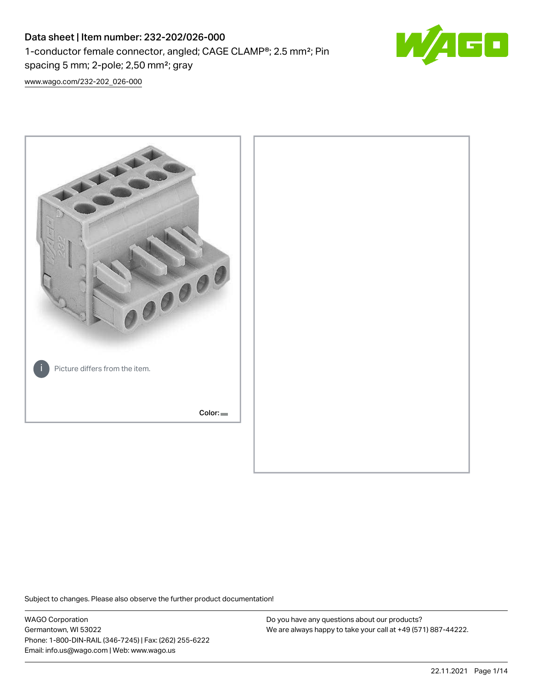# Data sheet | Item number: 232-202/026-000 1-conductor female connector, angled; CAGE CLAMP®; 2.5 mm²; Pin spacing 5 mm; 2-pole; 2,50 mm²; gray



[www.wago.com/232-202\\_026-000](http://www.wago.com/232-202_026-000)



Subject to changes. Please also observe the further product documentation!

WAGO Corporation Germantown, WI 53022 Phone: 1-800-DIN-RAIL (346-7245) | Fax: (262) 255-6222 Email: info.us@wago.com | Web: www.wago.us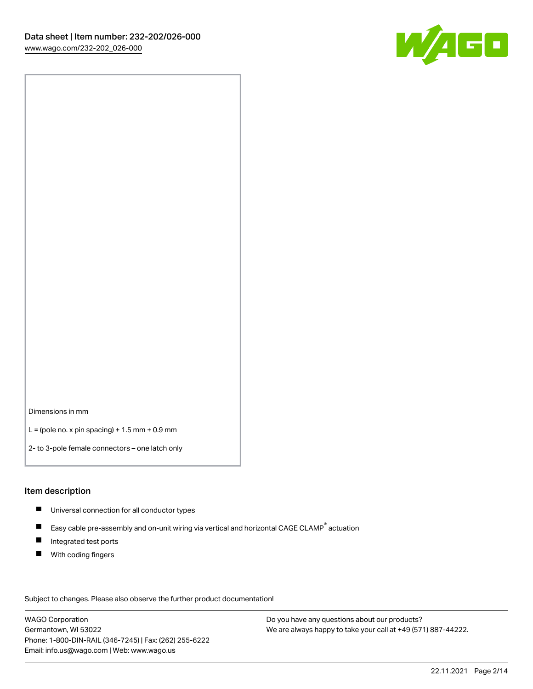

Dimensions in mm

 $L =$  (pole no. x pin spacing) + 1.5 mm + 0.9 mm

2- to 3-pole female connectors – one latch only

#### Item description

- **Universal connection for all conductor types**
- Easy cable pre-assembly and on-unit wiring via vertical and horizontal CAGE CLAMP<sup>®</sup> actuation  $\blacksquare$
- $\blacksquare$ Integrated test ports
- $\blacksquare$ With coding fingers

Subject to changes. Please also observe the further product documentation! Data

WAGO Corporation Germantown, WI 53022 Phone: 1-800-DIN-RAIL (346-7245) | Fax: (262) 255-6222 Email: info.us@wago.com | Web: www.wago.us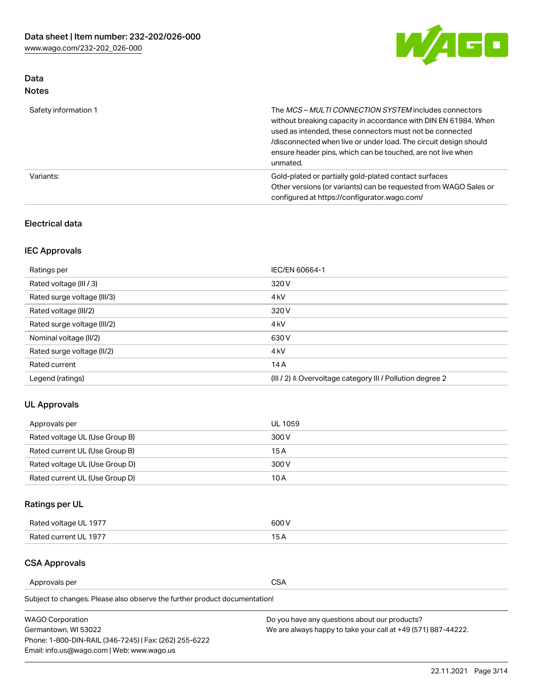

### Data Notes

| Safety information 1 | The <i>MCS – MULTI CONNECTION SYSTEM</i> includes connectors<br>without breaking capacity in accordance with DIN EN 61984. When<br>used as intended, these connectors must not be connected<br>/disconnected when live or under load. The circuit design should<br>ensure header pins, which can be touched, are not live when<br>unmated. |
|----------------------|--------------------------------------------------------------------------------------------------------------------------------------------------------------------------------------------------------------------------------------------------------------------------------------------------------------------------------------------|
| Variants:            | Gold-plated or partially gold-plated contact surfaces<br>Other versions (or variants) can be requested from WAGO Sales or<br>configured at https://configurator.wago.com/                                                                                                                                                                  |

### Electrical data

## IEC Approvals

| Ratings per                 | IEC/EN 60664-1                                                        |
|-----------------------------|-----------------------------------------------------------------------|
| Rated voltage (III / 3)     | 320 V                                                                 |
| Rated surge voltage (III/3) | 4 <sub>k</sub> V                                                      |
| Rated voltage (III/2)       | 320 V                                                                 |
| Rated surge voltage (III/2) | 4 <sub>k</sub> V                                                      |
| Nominal voltage (II/2)      | 630 V                                                                 |
| Rated surge voltage (II/2)  | 4 <sub>k</sub> V                                                      |
| Rated current               | 14A                                                                   |
| Legend (ratings)            | $(III / 2)$ $\triangle$ Overvoltage category III / Pollution degree 2 |

### UL Approvals

| Approvals per                  | UL 1059 |
|--------------------------------|---------|
| Rated voltage UL (Use Group B) | 300 V   |
| Rated current UL (Use Group B) | 15 A    |
| Rated voltage UL (Use Group D) | 300 V   |
| Rated current UL (Use Group D) | 10 A    |

## Ratings per UL

| Rated voltage UL 1977 | 300 V |
|-----------------------|-------|
| Rated current UL 1977 |       |

#### CSA Approvals

Approvals per CSA

Subject to changes. Please also observe the further product documentation!

| <b>WAGO Corporation</b>                                | Do you have any questions about our products?                 |
|--------------------------------------------------------|---------------------------------------------------------------|
| Germantown, WI 53022                                   | We are always happy to take your call at +49 (571) 887-44222. |
| Phone: 1-800-DIN-RAIL (346-7245)   Fax: (262) 255-6222 |                                                               |
| Email: info.us@wago.com   Web: www.wago.us             |                                                               |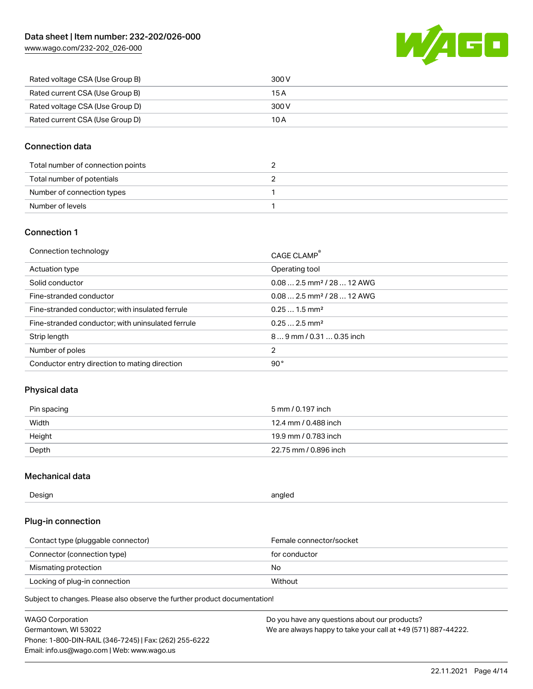[www.wago.com/232-202\\_026-000](http://www.wago.com/232-202_026-000)



| Rated voltage CSA (Use Group B) | 300 V |
|---------------------------------|-------|
| Rated current CSA (Use Group B) | 15 A  |
| Rated voltage CSA (Use Group D) | 300 V |
| Rated current CSA (Use Group D) | 10 A  |

#### Connection data

| Total number of connection points |  |
|-----------------------------------|--|
| Total number of potentials        |  |
| Number of connection types        |  |
| Number of levels                  |  |

#### Connection 1

| Connection technology                             | CAGE CLAMP <sup>®</sup>                 |
|---------------------------------------------------|-----------------------------------------|
| Actuation type                                    | Operating tool                          |
| Solid conductor                                   | $0.082.5$ mm <sup>2</sup> / 28  12 AWG  |
| Fine-stranded conductor                           | $0.08$ 2.5 mm <sup>2</sup> / 28  12 AWG |
| Fine-stranded conductor; with insulated ferrule   | $0.251.5$ mm <sup>2</sup>               |
| Fine-stranded conductor; with uninsulated ferrule | $0.252.5$ mm <sup>2</sup>               |
| Strip length                                      | $89$ mm $/$ 0.31  0.35 inch             |
| Number of poles                                   | 2                                       |
| Conductor entry direction to mating direction     | 90°                                     |

### Physical data

| Pin spacing | 5 mm / 0.197 inch     |
|-------------|-----------------------|
| Width       | 12.4 mm / 0.488 inch  |
| Height      | 19.9 mm / 0.783 inch  |
| Depth       | 22.75 mm / 0.896 inch |

#### Mechanical data

| Design<br>angled |  |
|------------------|--|
|------------------|--|

### Plug-in connection

| Contact type (pluggable connector) | Female connector/socket |
|------------------------------------|-------------------------|
| Connector (connection type)        | for conductor           |
| Mismating protection               | No.                     |
| Locking of plug-in connection      | Without                 |

Subject to changes. Please also observe the further product documentation!

| <b>WAGO Corporation</b>                                | Do you have any questions about our products?                 |
|--------------------------------------------------------|---------------------------------------------------------------|
| Germantown, WI 53022                                   | We are always happy to take your call at +49 (571) 887-44222. |
| Phone: 1-800-DIN-RAIL (346-7245)   Fax: (262) 255-6222 |                                                               |
| Email: info.us@wago.com   Web: www.wago.us             |                                                               |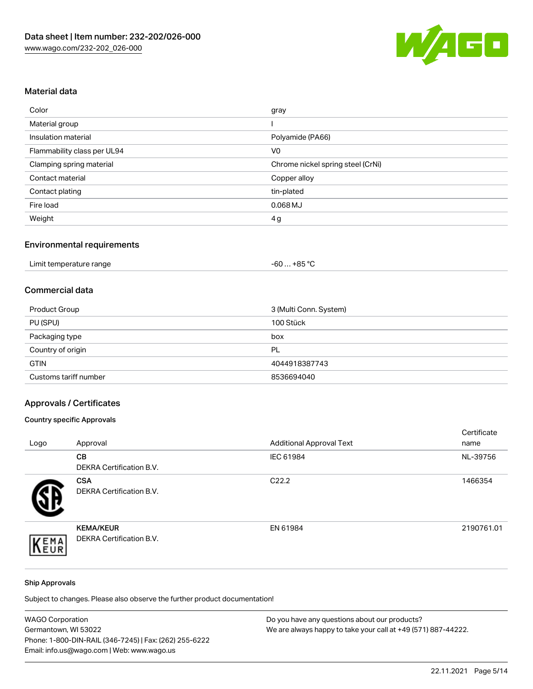

## Material data

| Color                       | gray                              |
|-----------------------------|-----------------------------------|
| Material group              |                                   |
| Insulation material         | Polyamide (PA66)                  |
| Flammability class per UL94 | V <sub>0</sub>                    |
| Clamping spring material    | Chrome nickel spring steel (CrNi) |
| Contact material            | Copper alloy                      |
| Contact plating             | tin-plated                        |
| Fire load                   | $0.068$ MJ                        |
| Weight                      | 4g                                |

## Environmental requirements

| Limit temperature range | $-60+85 °C$ |  |
|-------------------------|-------------|--|
|-------------------------|-------------|--|

#### Commercial data

| Product Group         | 3 (Multi Conn. System) |
|-----------------------|------------------------|
| PU (SPU)              | 100 Stück              |
| Packaging type        | box                    |
| Country of origin     | PL                     |
| <b>GTIN</b>           | 4044918387743          |
| Customs tariff number | 8536694040             |

## Approvals / Certificates

#### Country specific Approvals

| Logo | Approval                                            | <b>Additional Approval Text</b> | Certificate<br>name |
|------|-----------------------------------------------------|---------------------------------|---------------------|
|      | CВ<br><b>DEKRA Certification B.V.</b>               | IEC 61984                       | NL-39756            |
|      | <b>CSA</b><br><b>DEKRA Certification B.V.</b>       | C <sub>22.2</sub>               | 1466354             |
| EMA  | <b>KEMA/KEUR</b><br><b>DEKRA Certification B.V.</b> | EN 61984                        | 2190761.01          |

#### Ship Approvals

Subject to changes. Please also observe the further product documentation!

| <b>WAGO Corporation</b>                                | Do you have any questions about our products?                 |
|--------------------------------------------------------|---------------------------------------------------------------|
| Germantown, WI 53022                                   | We are always happy to take your call at +49 (571) 887-44222. |
| Phone: 1-800-DIN-RAIL (346-7245)   Fax: (262) 255-6222 |                                                               |
| Email: info.us@wago.com   Web: www.wago.us             |                                                               |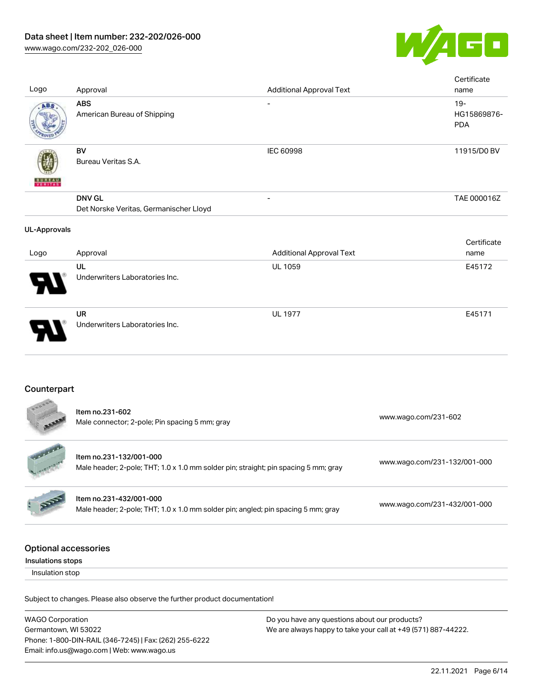

| Logo                                             | Approval                                                                                                       | <b>Additional Approval Text</b>               | Certificate<br>name                 |
|--------------------------------------------------|----------------------------------------------------------------------------------------------------------------|-----------------------------------------------|-------------------------------------|
| ABS                                              | <b>ABS</b><br>American Bureau of Shipping                                                                      |                                               | $19 -$<br>HG15869876-<br><b>PDA</b> |
|                                                  | <b>BV</b><br>Bureau Veritas S.A.                                                                               | <b>IEC 60998</b>                              | 11915/D0 BV                         |
|                                                  | <b>DNV GL</b><br>Det Norske Veritas, Germanischer Lloyd                                                        |                                               | TAE 000016Z                         |
| <b>UL-Approvals</b>                              |                                                                                                                |                                               |                                     |
| Logo                                             | Approval                                                                                                       | <b>Additional Approval Text</b>               | Certificate<br>name                 |
|                                                  | UL<br>Underwriters Laboratories Inc.                                                                           | UL 1059                                       | E45172                              |
|                                                  | <b>UR</b><br>Underwriters Laboratories Inc.                                                                    | <b>UL 1977</b>                                | E45171                              |
| Counterpart                                      |                                                                                                                |                                               |                                     |
|                                                  | Item no.231-602<br>Male connector; 2-pole; Pin spacing 5 mm; gray                                              |                                               | www.wago.com/231-602                |
|                                                  | Item no.231-132/001-000<br>Male header; 2-pole; THT; 1.0 x 1.0 mm solder pin; straight; pin spacing 5 mm; gray |                                               | www.wago.com/231-132/001-000        |
|                                                  | Item no.231-432/001-000<br>Male header; 2-pole; THT; 1.0 x 1.0 mm solder pin; angled; pin spacing 5 mm; gray   |                                               | www.wago.com/231-432/001-000        |
| <b>Optional accessories</b><br>Insulations stops |                                                                                                                |                                               |                                     |
| Insulation stop                                  |                                                                                                                |                                               |                                     |
|                                                  | Subject to changes. Please also observe the further product documentation!                                     |                                               |                                     |
| <b>WAGO Corporation</b>                          |                                                                                                                | Do you have any questions about our products? |                                     |

Germantown, WI 53022 Phone: 1-800-DIN-RAIL (346-7245) | Fax: (262) 255-6222 Email: info.us@wago.com | Web: www.wago.us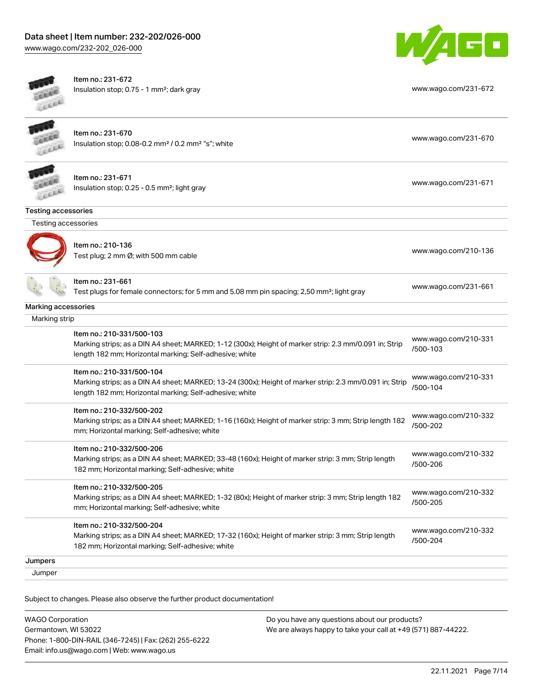[www.wago.com/232-202\\_026-000](http://www.wago.com/232-202_026-000)



| Lecce                      | Item no.: 231-672<br>Insulation stop; 0.75 - 1 mm <sup>2</sup> ; dark gray                                                                                                                      | www.wago.com/231-672             |
|----------------------------|-------------------------------------------------------------------------------------------------------------------------------------------------------------------------------------------------|----------------------------------|
|                            | Item no.: 231-670<br>Insulation stop; 0.08-0.2 mm <sup>2</sup> / 0.2 mm <sup>2</sup> "s"; white                                                                                                 | www.wago.com/231-670             |
|                            | Item no.: 231-671<br>Insulation stop; 0.25 - 0.5 mm <sup>2</sup> ; light gray                                                                                                                   | www.wago.com/231-671             |
| <b>Testing accessories</b> |                                                                                                                                                                                                 |                                  |
| Testing accessories        |                                                                                                                                                                                                 |                                  |
|                            | Item no.: 210-136<br>Test plug; 2 mm Ø; with 500 mm cable                                                                                                                                       | www.wago.com/210-136             |
|                            | ltem no.: 231-661<br>Test plugs for female connectors; for 5 mm and 5.08 mm pin spacing; 2,50 mm <sup>2</sup> ; light gray                                                                      | www.wago.com/231-661             |
| Marking accessories        |                                                                                                                                                                                                 |                                  |
| Marking strip              |                                                                                                                                                                                                 |                                  |
|                            | Item no.: 210-331/500-103<br>Marking strips; as a DIN A4 sheet; MARKED; 1-12 (300x); Height of marker strip: 2.3 mm/0.091 in; Strip<br>length 182 mm; Horizontal marking; Self-adhesive; white  | www.wago.com/210-331<br>/500-103 |
|                            | Item no.: 210-331/500-104<br>Marking strips; as a DIN A4 sheet; MARKED; 13-24 (300x); Height of marker strip: 2.3 mm/0.091 in; Strip<br>length 182 mm; Horizontal marking; Self-adhesive; white | www.wago.com/210-331<br>/500-104 |
|                            | Item no.: 210-332/500-202<br>Marking strips; as a DIN A4 sheet; MARKED; 1-16 (160x); Height of marker strip: 3 mm; Strip length 182<br>mm; Horizontal marking; Self-adhesive; white             | www.wago.com/210-332<br>/500-202 |
|                            | Item no.: 210-332/500-206<br>Marking strips; as a DIN A4 sheet; MARKED; 33-48 (160x); Height of marker strip: 3 mm; Strip length<br>182 mm; Horizontal marking; Self-adhesive; white            | www.wago.com/210-332<br>/500-206 |
|                            | Item no.: 210-332/500-205<br>Marking strips; as a DIN A4 sheet; MARKED; 1-32 (80x); Height of marker strip: 3 mm; Strip length 182<br>mm; Horizontal marking; Self-adhesive; white              | www.wago.com/210-332<br>/500-205 |
|                            | Item no.: 210-332/500-204<br>Marking strips; as a DIN A4 sheet; MARKED; 17-32 (160x); Height of marker strip: 3 mm; Strip length<br>182 mm; Horizontal marking; Self-adhesive; white            | www.wago.com/210-332<br>/500-204 |
| Jumpers                    |                                                                                                                                                                                                 |                                  |
| Jumper                     |                                                                                                                                                                                                 |                                  |

Subject to changes. Please also observe the further product documentation!

| <b>WAGO Corporation</b>                                |  |
|--------------------------------------------------------|--|
| Germantown, WI 53022                                   |  |
| Phone: 1-800-DIN-RAIL (346-7245)   Fax: (262) 255-6222 |  |
| Email: info.us@wago.com   Web: www.wago.us             |  |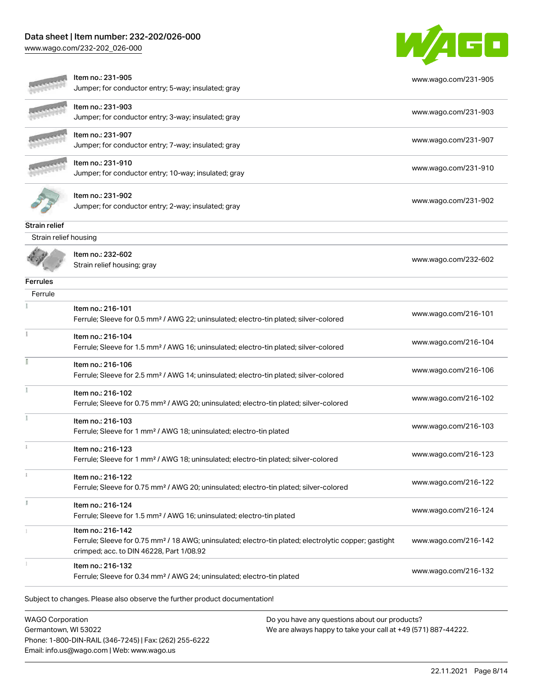### Data sheet | Item number: 232-202/026-000

[www.wago.com/232-202\\_026-000](http://www.wago.com/232-202_026-000)



|                       | Item no.: 216-132<br>Ferrule; Sleeve for 0.34 mm <sup>2</sup> / AWG 24; uninsulated; electro-tin plated                                                                            | www.wago.com/216-132 |
|-----------------------|------------------------------------------------------------------------------------------------------------------------------------------------------------------------------------|----------------------|
|                       | Item no.: 216-142<br>Ferrule; Sleeve for 0.75 mm <sup>2</sup> / 18 AWG; uninsulated; electro-tin plated; electrolytic copper; gastight<br>crimped; acc. to DIN 46228, Part 1/08.92 | www.wago.com/216-142 |
|                       | Item no.: 216-124<br>Ferrule; Sleeve for 1.5 mm <sup>2</sup> / AWG 16; uninsulated; electro-tin plated                                                                             | www.wago.com/216-124 |
|                       | Item no.: 216-122<br>Ferrule; Sleeve for 0.75 mm <sup>2</sup> / AWG 20; uninsulated; electro-tin plated; silver-colored                                                            | www.wago.com/216-122 |
|                       | Item no.: 216-123<br>Ferrule; Sleeve for 1 mm <sup>2</sup> / AWG 18; uninsulated; electro-tin plated; silver-colored                                                               | www.wago.com/216-123 |
|                       | Item no.: 216-103<br>Ferrule; Sleeve for 1 mm <sup>2</sup> / AWG 18; uninsulated; electro-tin plated                                                                               | www.wago.com/216-103 |
|                       | Item no.: 216-102<br>Ferrule; Sleeve for 0.75 mm <sup>2</sup> / AWG 20; uninsulated; electro-tin plated; silver-colored                                                            | www.wago.com/216-102 |
|                       | Item no.: 216-106<br>Ferrule; Sleeve for 2.5 mm <sup>2</sup> / AWG 14; uninsulated; electro-tin plated; silver-colored                                                             | www.wago.com/216-106 |
|                       | Item no.: 216-104<br>Ferrule; Sleeve for 1.5 mm <sup>2</sup> / AWG 16; uninsulated; electro-tin plated; silver-colored                                                             | www.wago.com/216-104 |
|                       | Item no.: 216-101<br>Ferrule; Sleeve for 0.5 mm <sup>2</sup> / AWG 22; uninsulated; electro-tin plated; silver-colored                                                             | www.wago.com/216-101 |
| Ferrule               |                                                                                                                                                                                    |                      |
| Ferrules              |                                                                                                                                                                                    |                      |
|                       | Item no.: 232-602<br>Strain relief housing; gray                                                                                                                                   | www.wago.com/232-602 |
| Strain relief housing |                                                                                                                                                                                    |                      |
| Strain relief         |                                                                                                                                                                                    |                      |
|                       | ltem no.: 231-902<br>Jumper; for conductor entry; 2-way; insulated; gray                                                                                                           | www.wago.com/231-902 |
|                       | Item no.: 231-910<br>Jumper; for conductor entry; 10-way; insulated; gray                                                                                                          | www.wago.com/231-910 |
|                       | Item no.: 231-907<br>Jumper; for conductor entry; 7-way; insulated; gray                                                                                                           | www.wago.com/231-907 |
|                       | ltem no.: 231-903<br>Jumper; for conductor entry; 3-way; insulated; gray                                                                                                           | www.wago.com/231-903 |
|                       | Item no.: 231-905<br>Jumper; for conductor entry; 5-way; insulated; gray                                                                                                           | www.wago.com/231-905 |

WAGO Corporation Germantown, WI 53022 Phone: 1-800-DIN-RAIL (346-7245) | Fax: (262) 255-6222 Email: info.us@wago.com | Web: www.wago.us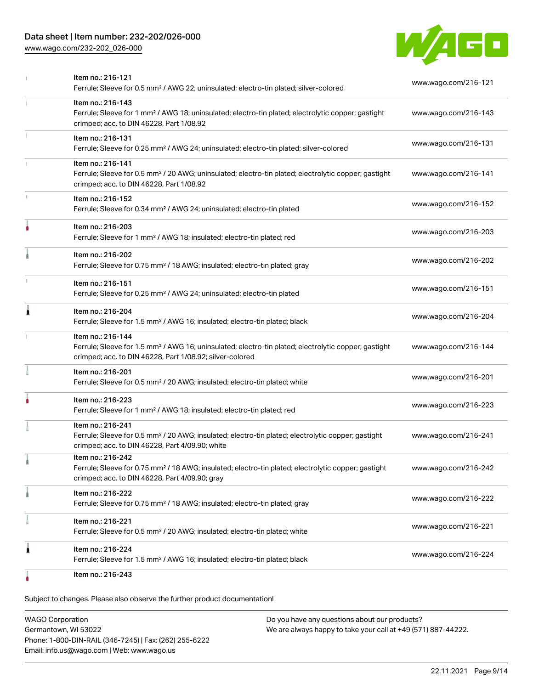### Data sheet | Item number: 232-202/026-000

[www.wago.com/232-202\\_026-000](http://www.wago.com/232-202_026-000)



|    | Item no.: 216-121<br>Ferrule; Sleeve for 0.5 mm <sup>2</sup> / AWG 22; uninsulated; electro-tin plated; silver-colored                                                                            | www.wago.com/216-121 |
|----|---------------------------------------------------------------------------------------------------------------------------------------------------------------------------------------------------|----------------------|
| 1. | Item no.: 216-143<br>Ferrule; Sleeve for 1 mm <sup>2</sup> / AWG 18; uninsulated; electro-tin plated; electrolytic copper; gastight<br>crimped; acc. to DIN 46228, Part 1/08.92                   | www.wago.com/216-143 |
| I. | Item no.: 216-131<br>Ferrule; Sleeve for 0.25 mm <sup>2</sup> / AWG 24; uninsulated; electro-tin plated; silver-colored                                                                           | www.wago.com/216-131 |
| 1  | Item no.: 216-141<br>Ferrule; Sleeve for 0.5 mm <sup>2</sup> / 20 AWG; uninsulated; electro-tin plated; electrolytic copper; gastight<br>crimped; acc. to DIN 46228, Part 1/08.92                 | www.wago.com/216-141 |
| s. | Item no.: 216-152<br>Ferrule; Sleeve for 0.34 mm <sup>2</sup> / AWG 24; uninsulated; electro-tin plated                                                                                           | www.wago.com/216-152 |
|    | Item no.: 216-203<br>Ferrule; Sleeve for 1 mm <sup>2</sup> / AWG 18; insulated; electro-tin plated; red                                                                                           | www.wago.com/216-203 |
|    | Item no.: 216-202<br>Ferrule; Sleeve for 0.75 mm <sup>2</sup> / 18 AWG; insulated; electro-tin plated; gray                                                                                       | www.wago.com/216-202 |
|    | Item no.: 216-151<br>Ferrule; Sleeve for 0.25 mm <sup>2</sup> / AWG 24; uninsulated; electro-tin plated                                                                                           | www.wago.com/216-151 |
| 1  | Item no.: 216-204<br>Ferrule; Sleeve for 1.5 mm <sup>2</sup> / AWG 16; insulated; electro-tin plated; black                                                                                       | www.wago.com/216-204 |
|    | Item no.: 216-144<br>Ferrule; Sleeve for 1.5 mm <sup>2</sup> / AWG 16; uninsulated; electro-tin plated; electrolytic copper; gastight<br>crimped; acc. to DIN 46228, Part 1/08.92; silver-colored | www.wago.com/216-144 |
|    | Item no.: 216-201<br>Ferrule; Sleeve for 0.5 mm <sup>2</sup> / 20 AWG; insulated; electro-tin plated; white                                                                                       | www.wago.com/216-201 |
| ۸  | Item no.: 216-223<br>Ferrule; Sleeve for 1 mm <sup>2</sup> / AWG 18; insulated; electro-tin plated; red                                                                                           | www.wago.com/216-223 |
|    | Item no.: 216-241<br>Ferrule; Sleeve for 0.5 mm <sup>2</sup> / 20 AWG; insulated; electro-tin plated; electrolytic copper; gastight<br>crimped; acc. to DIN 46228, Part 4/09.90; white            | www.wago.com/216-241 |
|    | Item no.: 216-242<br>Ferrule; Sleeve for 0.75 mm <sup>2</sup> / 18 AWG; insulated; electro-tin plated; electrolytic copper; gastight<br>crimped; acc. to DIN 46228, Part 4/09.90; gray            | www.wago.com/216-242 |
|    | Item no.: 216-222<br>Ferrule; Sleeve for 0.75 mm <sup>2</sup> / 18 AWG; insulated; electro-tin plated; gray                                                                                       | www.wago.com/216-222 |
|    | Item no.: 216-221<br>Ferrule; Sleeve for 0.5 mm <sup>2</sup> / 20 AWG; insulated; electro-tin plated; white                                                                                       | www.wago.com/216-221 |
| 1  | Item no.: 216-224<br>Ferrule; Sleeve for 1.5 mm <sup>2</sup> / AWG 16; insulated; electro-tin plated; black                                                                                       | www.wago.com/216-224 |
|    | Item no.: 216-243                                                                                                                                                                                 |                      |

Subject to changes. Please also observe the further product documentation!

WAGO Corporation Germantown, WI 53022 Phone: 1-800-DIN-RAIL (346-7245) | Fax: (262) 255-6222 Email: info.us@wago.com | Web: www.wago.us Do you have any questions about our products? We are always happy to take your call at +49 (571) 887-44222.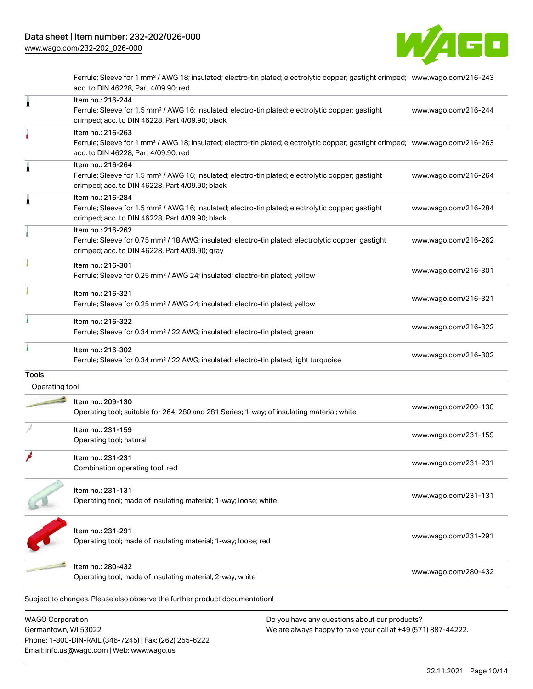

Ferrule; Sleeve for 1 mm² / AWG 18; insulated; electro-tin plated; electrolytic copper; gastight crimped; [www.wago.com/216-243](http://www.wago.com/216-243) acc. to DIN 46228, Part 4/09.90; red

| ı                                               | Item no.: 216-244<br>Ferrule; Sleeve for 1.5 mm <sup>2</sup> / AWG 16; insulated; electro-tin plated; electrolytic copper; gastight<br>crimped; acc. to DIN 46228, Part 4/09.90; black                  |                                                                                                                | www.wago.com/216-244 |
|-------------------------------------------------|---------------------------------------------------------------------------------------------------------------------------------------------------------------------------------------------------------|----------------------------------------------------------------------------------------------------------------|----------------------|
|                                                 | Item no.: 216-263<br>Ferrule; Sleeve for 1 mm <sup>2</sup> / AWG 18; insulated; electro-tin plated; electrolytic copper; gastight crimped; www.wago.com/216-263<br>acc. to DIN 46228, Part 4/09.90; red |                                                                                                                |                      |
| ۸                                               | Item no.: 216-264<br>Ferrule; Sleeve for 1.5 mm <sup>2</sup> / AWG 16; insulated; electro-tin plated; electrolytic copper; gastight<br>crimped; acc. to DIN 46228, Part 4/09.90; black                  |                                                                                                                | www.wago.com/216-264 |
| £                                               | Item no.: 216-284<br>Ferrule; Sleeve for 1.5 mm <sup>2</sup> / AWG 16; insulated; electro-tin plated; electrolytic copper; gastight<br>crimped; acc. to DIN 46228, Part 4/09.90; black                  |                                                                                                                | www.wago.com/216-284 |
|                                                 | Item no.: 216-262<br>Ferrule; Sleeve for 0.75 mm <sup>2</sup> / 18 AWG; insulated; electro-tin plated; electrolytic copper; gastight<br>crimped; acc. to DIN 46228, Part 4/09.90; gray                  |                                                                                                                | www.wago.com/216-262 |
|                                                 | Item no.: 216-301<br>Ferrule; Sleeve for 0.25 mm <sup>2</sup> / AWG 24; insulated; electro-tin plated; yellow                                                                                           |                                                                                                                | www.wago.com/216-301 |
|                                                 | Item no.: 216-321<br>Ferrule; Sleeve for 0.25 mm <sup>2</sup> / AWG 24; insulated; electro-tin plated; yellow                                                                                           |                                                                                                                | www.wago.com/216-321 |
|                                                 | Item no.: 216-322<br>Ferrule; Sleeve for 0.34 mm <sup>2</sup> / 22 AWG; insulated; electro-tin plated; green                                                                                            |                                                                                                                | www.wago.com/216-322 |
| ì                                               | Item no.: 216-302<br>Ferrule; Sleeve for 0.34 mm <sup>2</sup> / 22 AWG; insulated; electro-tin plated; light turquoise                                                                                  |                                                                                                                | www.wago.com/216-302 |
| Tools                                           |                                                                                                                                                                                                         |                                                                                                                |                      |
| Operating tool                                  |                                                                                                                                                                                                         |                                                                                                                |                      |
|                                                 | Item no.: 209-130<br>Operating tool; suitable for 264, 280 and 281 Series; 1-way; of insulating material; white                                                                                         |                                                                                                                | www.wago.com/209-130 |
|                                                 | Item no.: 231-159<br>Operating tool; natural                                                                                                                                                            |                                                                                                                | www.wago.com/231-159 |
|                                                 | Item no.: 231-231<br>Combination operating tool; red                                                                                                                                                    |                                                                                                                | www.wago.com/231-231 |
|                                                 | Item no.: 231-131<br>Operating tool; made of insulating material; 1-way; loose; white                                                                                                                   |                                                                                                                | www.wago.com/231-131 |
|                                                 | Item no.: 231-291<br>Operating tool; made of insulating material; 1-way; loose; red                                                                                                                     |                                                                                                                | www.wago.com/231-291 |
|                                                 | Item no.: 280-432<br>Operating tool; made of insulating material; 2-way; white                                                                                                                          |                                                                                                                | www.wago.com/280-432 |
|                                                 | Subject to changes. Please also observe the further product documentation!                                                                                                                              |                                                                                                                |                      |
| <b>WAGO Corporation</b><br>Germantown, WI 53022 |                                                                                                                                                                                                         | Do you have any questions about our products?<br>We are always happy to take your call at +49 (571) 887-44222. |                      |

Germantown, WI 53022 Phone: 1-800-DIN-RAIL (346-7245) | Fax: (262) 255-6222 Email: info.us@wago.com | Web: www.wago.us

ays happy to take your call at  $+49$  (571)  $\,$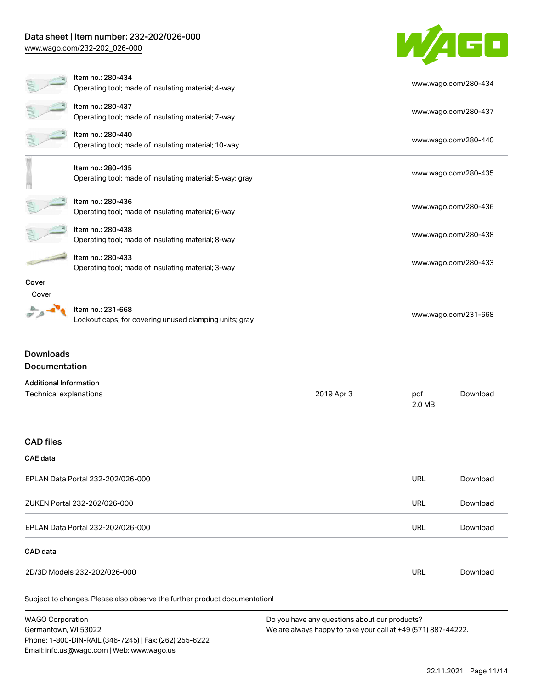### Data sheet | Item number: 232-202/026-000

[www.wago.com/232-202\\_026-000](http://www.wago.com/232-202_026-000)



|       | Item no.: 280-434                                        |                      |
|-------|----------------------------------------------------------|----------------------|
|       | Operating tool; made of insulating material; 4-way       | www.wago.com/280-434 |
|       | Item no.: 280-437                                        | www.wago.com/280-437 |
|       | Operating tool; made of insulating material; 7-way       |                      |
|       | Item no.: 280-440                                        |                      |
|       | Operating tool; made of insulating material; 10-way      | www.wago.com/280-440 |
|       | Item no.: 280-435                                        |                      |
|       | Operating tool; made of insulating material; 5-way; gray | www.wago.com/280-435 |
|       |                                                          |                      |
|       | Item no.: 280-436                                        | www.wago.com/280-436 |
|       | Operating tool; made of insulating material; 6-way       |                      |
|       | Item no.: 280-438                                        | www.wago.com/280-438 |
|       | Operating tool; made of insulating material; 8-way       |                      |
|       | Item no.: 280-433                                        |                      |
|       | Operating tool; made of insulating material; 3-way       | www.wago.com/280-433 |
| Cover |                                                          |                      |
| Cover |                                                          |                      |
|       | Item no.: 231-668                                        | www.wago.com/231-668 |
|       | Lockout caps; for covering unused clamping units; gray   |                      |

### Downloads Documentation

#### Additional Information

| Additional information |            |     |          |
|------------------------|------------|-----|----------|
| Technical explanations | 2019 Apr 3 | pdf | Download |
|                        | 2.0 MB     |     |          |

#### CAD files

#### CAE data

| EPLAN Data Portal 232-202/026-000 | <b>URL</b> | Download |
|-----------------------------------|------------|----------|
| ZUKEN Portal 232-202/026-000      | <b>URL</b> | Download |
| EPLAN Data Portal 232-202/026-000 | <b>URL</b> | Download |
| CAD data                          |            |          |
| 2D/3D Models 232-202/026-000      | URL        | Download |

Subject to changes. Please also observe the further product documentation!

WAGO Corporation Germantown, WI 53022 Phone: 1-800-DIN-RAIL (346-7245) | Fax: (262) 255-6222 Email: info.us@wago.com | Web: www.wago.us Do you have any questions about our products? We are always happy to take your call at +49 (571) 887-44222.

22.11.2021 Page 11/14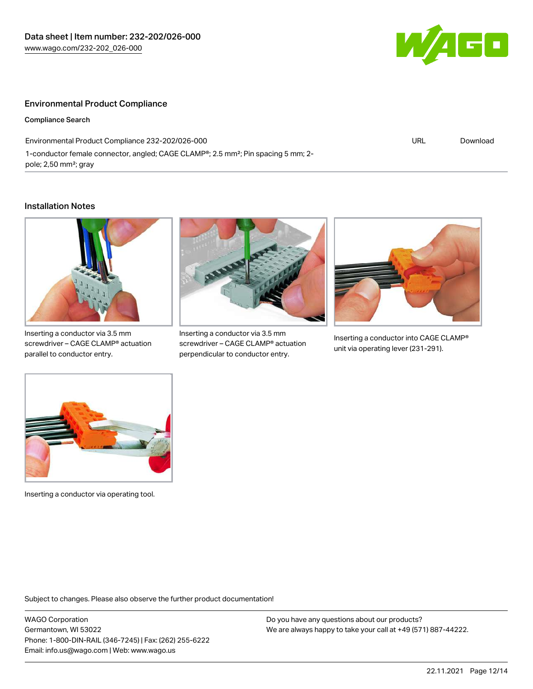

#### Environmental Product Compliance

Compliance Search

Environmental Product Compliance 232-202/026-000 1-conductor female connector, angled; CAGE CLAMP®; 2.5 mm²; Pin spacing 5 mm; 2 pole; 2,50 mm²; gray

URL [Download](https://www.wago.com/global/d/ComplianceLinkMediaContainer_232-202_026-000)

#### Installation Notes



Inserting a conductor via 3.5 mm screwdriver – CAGE CLAMP® actuation parallel to conductor entry.



Inserting a conductor via 3.5 mm screwdriver – CAGE CLAMP® actuation perpendicular to conductor entry.



Inserting a conductor into CAGE CLAMP® unit via operating lever (231-291).



Inserting a conductor via operating tool.

Subject to changes. Please also observe the further product documentation!

WAGO Corporation Germantown, WI 53022 Phone: 1-800-DIN-RAIL (346-7245) | Fax: (262) 255-6222 Email: info.us@wago.com | Web: www.wago.us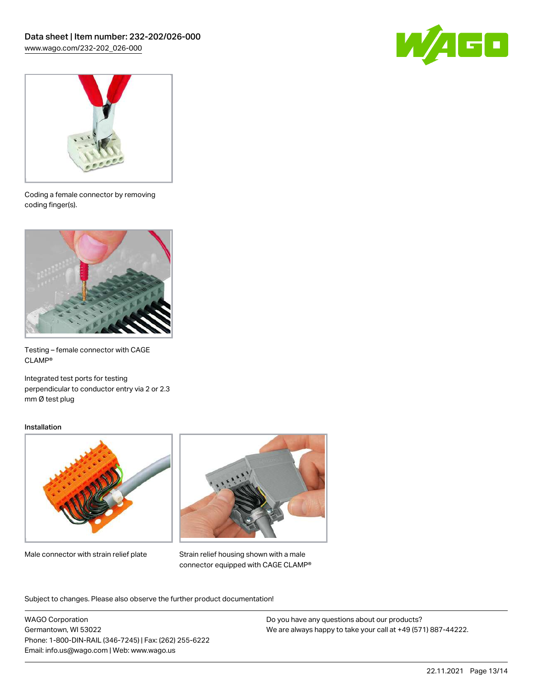



Coding a female connector by removing coding finger(s).



Testing – female connector with CAGE CLAMP®

Integrated test ports for testing perpendicular to conductor entry via 2 or 2.3 mm Ø test plug

#### Installation



Male connector with strain relief plate



Strain relief housing shown with a male connector equipped with CAGE CLAMP®

Subject to changes. Please also observe the further product documentation!

WAGO Corporation Germantown, WI 53022 Phone: 1-800-DIN-RAIL (346-7245) | Fax: (262) 255-6222 Email: info.us@wago.com | Web: www.wago.us